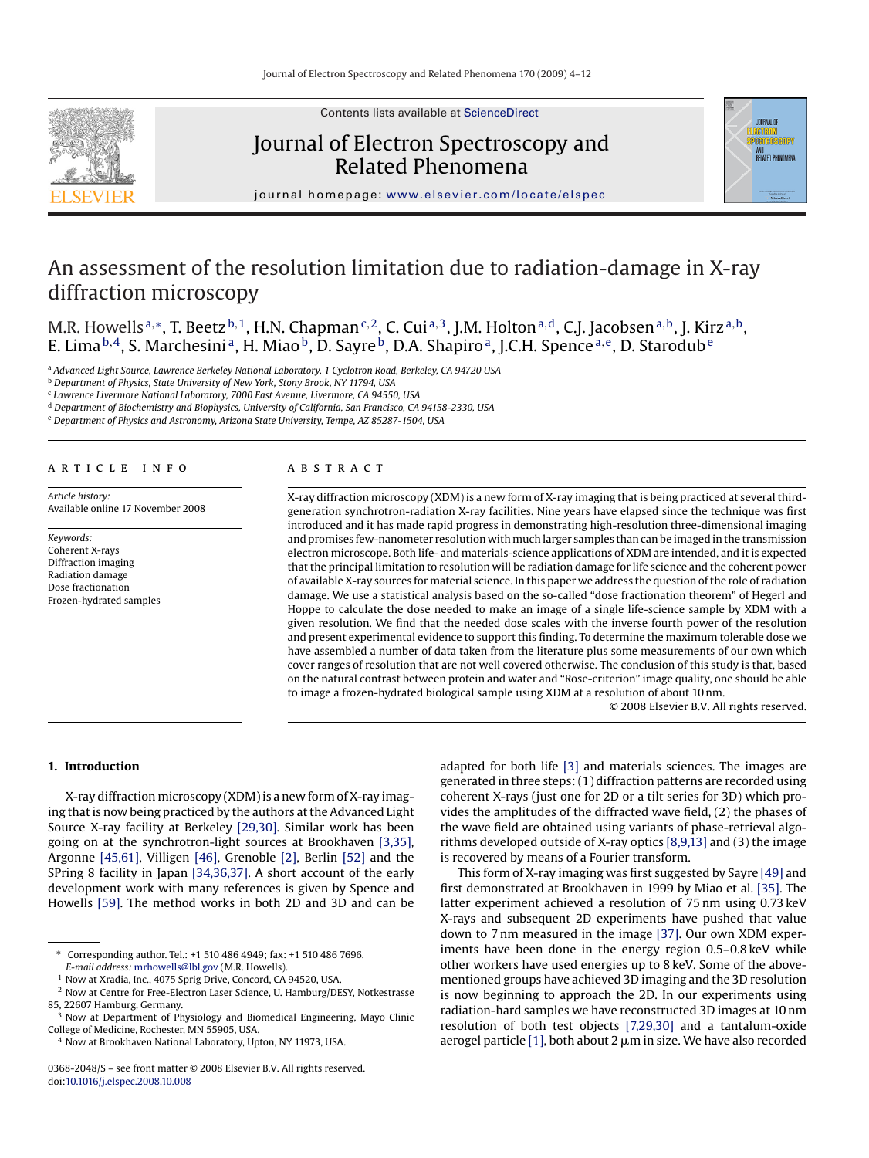

Contents lists available at [ScienceDirect](http://www.sciencedirect.com/science/journal/03682048)

# Journal of Electron Spectroscopy and Related Phenomena



journal homepage: [www.elsevier.com/locate/elspec](http://www.elsevier.com/locate/elspec)

# <span id="page-0-2"></span><span id="page-0-0"></span>An assessment of the resolution limitation due to radiation-damage in X-ray diffraction microscopy

<span id="page-0-9"></span><span id="page-0-7"></span><span id="page-0-4"></span>M.R. Howells a[,](#page-0-0)\*, [T.](#page-0-1) Beetz <sup>b, 1</sup>, [H](#page-0-3).N. Chapman <sup>c, 2</sup>, [C.](#page-0-7) Cui <sup>a, 3</sup>, [J.M](#page-0-6). Holton <sup>a, d</sup>, C.[J.](#page-0-2) Jacobsen <sup>a, b</sup>, J. Kirz <sup>a, b</sup>, E. Lima <sup>b,4</sup>, [S.](#page-0-8) Marchesini <sup>a</sup>, H. Miao <sup>b</sup>, D. Sayre <sup>b</sup>, D.A. Shapiro <sup>a</sup>, J.C.H. Spence <sup>[a,](#page-0-0) e</sup>, [D.](#page-0-9) Starodub <sup>[e](#page-0-9)</sup>

<sup>a</sup> *Advanced Light Source, Lawrence Berkeley National Laboratory, 1 Cyclotron Road, Berkeley, CA 94720 USA*

<sup>b</sup> *Department of Physics, State University of New York, Stony Brook, NY 11794, USA*

<sup>c</sup> *Lawrence Livermore National Laboratory, 7000 East Avenue, Livermore, CA 94550, USA*

<sup>d</sup> *Department of Biochemistry and Biophysics, University of California, San Francisco, CA 94158-2330, USA*

<sup>e</sup> *Department of Physics and Astronomy, Arizona State University, Tempe, AZ 85287-1504, USA*

# a r t i c l e i n f o

*Article history:* Available online 17 November 2008

*Keywords:* Coherent X-rays Diffraction imaging Radiation damage Dose fractionation Frozen-hydrated samples

## a b s t r a c t

X-ray diffraction microscopy (XDM) is a new form of X-ray imaging that is being practiced at several thirdgeneration synchrotron-radiation X-ray facilities. Nine years have elapsed since the technique was first introduced and it has made rapid progress in demonstrating high-resolution three-dimensional imaging and promises few-nanometer resolution with much larger samples than can be imaged in the transmission electron microscope. Both life- and materials-science applications of XDM are intended, and it is expected that the principal limitation to resolution will be radiation damage for life science and the coherent power of available X-ray sources for material science. In this paper we address the question of the role of radiation damage. We use a statistical analysis based on the so-called "dose fractionation theorem" of Hegerl and Hoppe to calculate the dose needed to make an image of a single life-science sample by XDM with a given resolution. We find that the needed dose scales with the inverse fourth power of the resolution and present experimental evidence to support this finding. To determine the maximum tolerable dose we have assembled a number of data taken from the literature plus some measurements of our own which cover ranges of resolution that are not well covered otherwise. The conclusion of this study is that, based on the natural contrast between protein and water and "Rose-criterion" image quality, one should be able to image a frozen-hydrated biological sample using XDM at a resolution of about 10 nm.

© 2008 Elsevier B.V. All rights reserved.

# **1. Introduction**

<span id="page-0-1"></span>X-ray diffraction microscopy (XDM) is a new form of X-ray imaging that is now being practiced by the authors at the Advanced Light Source X-ray facility at Berkeley [\[29,30\].](#page-7-0) Similar work has been going on at the synchrotron-light sources at Brookhaven [\[3,35\],](#page-7-1) Argonne [\[45,61\],](#page-7-2) Villigen [\[46\],](#page-7-3) Grenoble [\[2\],](#page-7-4) Berlin [\[52\]](#page-7-5) and the SPring 8 facility in Japan [\[34,36,37\]. A](#page-7-6) short account of the early development work with many references is given by Spence and Howells [\[59\].](#page-8-0) The method works in both 2D and 3D and can be

adapted for both life [\[3\]](#page-7-1) and materials sciences. The images are generated in three steps: (1) diffraction patterns are recorded using coherent X-rays (just one for 2D or a tilt series for 3D) which provides the amplitudes of the diffracted wave field, (2) the phases of the wave field are obtained using variants of phase-retrieval algorithms developed outside of X-ray optics [\[8,9,13\]](#page-7-7) and (3) the image is recovered by means of a Fourier transform.

This form of X-ray imaging was first suggested by Sayre [\[49\]](#page-7-8) and first demonstrated at Brookhaven in 1999 by Miao et al. [\[35\]. T](#page-7-9)he latter experiment achieved a resolution of 75 nm using 0.73 keV X-rays and subsequent 2D experiments have pushed that value down to 7 nm measured in the image [\[37\].](#page-7-10) Our own XDM experiments have been done in the energy region 0.5–0.8 keV while other workers have used energies up to 8 keV. Some of the abovementioned groups have achieved 3D imaging and the 3D resolution is now beginning to approach the 2D. In our experiments using radiation-hard samples we have reconstructed 3D images at 10 nm resolution of both test objects [\[7,29,30\]](#page-7-11) and a tantalum-oxide aerogel particle [\[1\], b](#page-7-12)oth about 2  $\mu$ m in size. We have also recorded

<span id="page-0-8"></span><span id="page-0-6"></span><span id="page-0-5"></span><span id="page-0-3"></span><sup>∗</sup> Corresponding author. Tel.: +1 510 486 4949; fax: +1 510 486 7696.

*E-mail address:* [mrhowells@lbl.gov](mailto:mrhowells@lbl.gov) (M.R. Howells).

<sup>1</sup> Now at Xradia, Inc., 4075 Sprig Drive, Concord, CA 94520, USA.

<sup>&</sup>lt;sup>2</sup> Now at Centre for Free-Electron Laser Science, U. Hamburg/DESY, Notkestrasse 85, 22607 Hamburg, Germany.

<sup>&</sup>lt;sup>3</sup> Now at Department of Physiology and Biomedical Engineering, Mayo Clinic College of Medicine, Rochester, MN 55905, USA.

<sup>4</sup> Now at Brookhaven National Laboratory, Upton, NY 11973, USA.

<sup>0368-2048/\$ –</sup> see front matter © 2008 Elsevier B.V. All rights reserved. doi:[10.1016/j.elspec.2008.10.008](file://localhost/Users/jacobsen/Downloads/dx.doi.org/10.1016/j.elspec.2008.10.008)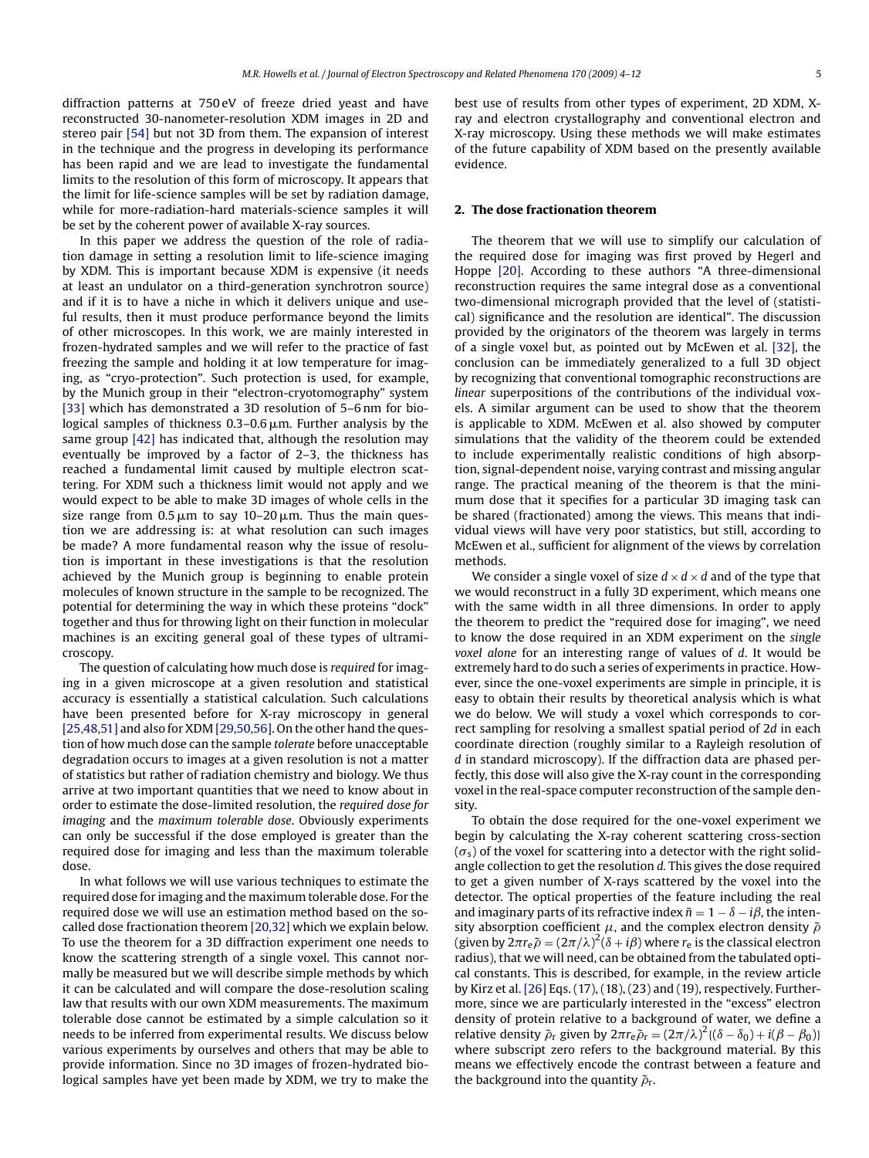diffraction patterns at 750 eV of freeze dried yeast and have reconstructed 30-nanometer-resolution XDM images in 2D and stereo pair [\[54\]](#page-7-14) but not 3D from them. The expansion of interest in the technique and the progress in developing its performance has been rapid and we are lead to investigate the fundamental limits to the resolution of this form of microscopy. It appears that the limit for life-science samples will be set by radiation damage, while for more-radiation-hard materials-science samples it will be set by the coherent power of available X-ray sources.

In this paper we address the question of the role of radiation damage in setting a resolution limit to life-science imaging by XDM. This is important because XDM is expensive (it needs at least an undulator on a third-generation synchrotron source) and if it is to have a niche in which it delivers unique and useful results, then it must produce performance beyond the limits of other microscopes. In this work, we are mainly interested in frozen-hydrated samples and we will refer to the practice of fast freezing the sample and holding it at low temperature for imaging, as "cryo-protection". Such protection is used, for example, by the Munich group in their "electron-cryotomography" system [\[33\]](#page-7-15) which has demonstrated a 3D resolution of 5-6 nm for biological samples of thickness  $0.3-0.6 \mu m$ . Further analysis by the same group [\[42\]](#page-7-16) has indicated that, although the resolution may eventually be improved by a factor of 2–3, the thickness has reached a fundamental limit caused by multiple electron scattering. For XDM such a thickness limit would not apply and we would expect to be able to make 3D images of whole cells in the size range from  $0.5 \mu m$  to say  $10-20 \mu m$ . Thus the main question we are addressing is: at what resolution can such images be made? A more fundamental reason why the issue of resolution is important in these investigations is that the resolution achieved by the Munich group is beginning to enable protein molecules of known structure in the sample to be recognized. The potential for determining the way in which these proteins "dock" together and thus for throwing light on their function in molecular machines is an exciting general goal of these types of ultramicroscopy.

The question of calculating how much dose is *required* for imaging in a given microscope at a given resolution and statistical accuracy is essentially a statistical calculation. Such calculations have been presented before for X-ray microscopy in general [\[25,48,51\]](#page-7-17) and also for XDM [\[29,50,56\]. O](#page-7-0)n the other hand the question of how much dose can the sample *tolerate* before unacceptable degradation occurs to images at a given resolution is not a matter of statistics but rather of radiation chemistry and biology. We thus arrive at two important quantities that we need to know about in order to estimate the dose-limited resolution, the *required dose for imaging* and the *maximum tolerable dose*. Obviously experiments can only be successful if the dose employed is greater than the required dose for imaging and less than the maximum tolerable dose.

In what follows we will use various techniques to estimate the required dose for imaging and the maximum tolerable dose. For the required dose we will use an estimation method based on the socalled dose fractionation theorem [\[20,32\]](#page-7-18) which we explain below. To use the theorem for a 3D diffraction experiment one needs to know the scattering strength of a single voxel. This cannot normally be measured but we will describe simple methods by which it can be calculated and will compare the dose-resolution scaling law that results with our own XDM measurements. The maximum tolerable dose cannot be estimated by a simple calculation so it needs to be inferred from experimental results. We discuss below various experiments by ourselves and others that may be able to provide information. Since no 3D images of frozen-hydrated biological samples have yet been made by XDM, we try to make the best use of results from other types of experiment, 2D XDM, Xray and electron crystallography and conventional electron and X-ray microscopy. Using these methods we will make estimates of the future capability of XDM based on the presently available evidence.

# **2. The dose fractionation theorem**

The theorem that we will use to simplify our calculation of the required dose for imaging was first proved by Hegerl and Hoppe [\[20\].](#page-7-18) According to these authors "A three-dimensional reconstruction requires the same integral dose as a conventional two-dimensional micrograph provided that the level of (statistical) significance and the resolution are identical". The discussion provided by the originators of the theorem was largely in terms of a single voxel but, as pointed out by McEwen et al. [\[32\],](#page-7-19) the conclusion can be immediately generalized to a full 3D object by recognizing that conventional tomographic reconstructions are *linear* superpositions of the contributions of the individual voxels. A similar argument can be used to show that the theorem is applicable to XDM. McEwen et al. also showed by computer simulations that the validity of the theorem could be extended to include experimentally realistic conditions of high absorption, signal-dependent noise, varying contrast and missing angular range. The practical meaning of the theorem is that the minimum dose that it specifies for a particular 3D imaging task can be shared (fractionated) among the views. This means that individual views will have very poor statistics, but still, according to McEwen et al., sufficient for alignment of the views by correlation methods.

We consider a single voxel of size  $d \times d \times d$  and of the type that we would reconstruct in a fully 3D experiment, which means one with the same width in all three dimensions. In order to apply the theorem to predict the "required dose for imaging", we need to know the dose required in an XDM experiment on the *single voxel alone* for an interesting range of values of *d*. It would be extremely hard to do such a series of experiments in practice. However, since the one-voxel experiments are simple in principle, it is easy to obtain their results by theoretical analysis which is what we do below. We will study a voxel which corresponds to correct sampling for resolving a smallest spatial period of 2*d* in each coordinate direction (roughly similar to a Rayleigh resolution of *d* in standard microscopy). If the diffraction data are phased perfectly, this dose will also give the X-ray count in the corresponding voxel in the real-space computer reconstruction of the sample density.

To obtain the dose required for the one-voxel experiment we begin by calculating the X-ray coherent scattering cross-section  $(\sigma_s)$  of the voxel for scattering into a detector with the right solidangle collection to get the resolution *d.* This gives the dose required to get a given number of X-rays scattered by the voxel into the detector. The optical properties of the feature including the real and imaginary parts of its refractive index  $\tilde{n} = 1 - \delta - i\beta$ , the intensity absorption coefficient  $\mu$ , and the complex electron density  $\tilde{\rho}$ (given by  $2\pi r_e \tilde{\rho} = (2\pi/\lambda)^2 (\delta + i\beta)$  where  $r_e$  is the classical electron radius), that we will need, can be obtained from the tabulated optical constants. This is described, for example, in the review article by Kirz et al. [\[26\]](#page-7-13) Eqs. (17), (18), (23) and (19), respectively. Furthermore, since we are particularly interested in the "excess" electron density of protein relative to a background of water, we define a relative density  $\tilde{\rho}_r$  given by  $2\pi r_e \tilde{\rho}_r = (2\pi/\lambda)^2 \{(\delta - \delta_0) + i(\beta - \beta_0)\}$ where subscript zero refers to the background material. By this means we effectively encode the contrast between a feature and the background into the quantity  $\tilde{\rho}_r$ .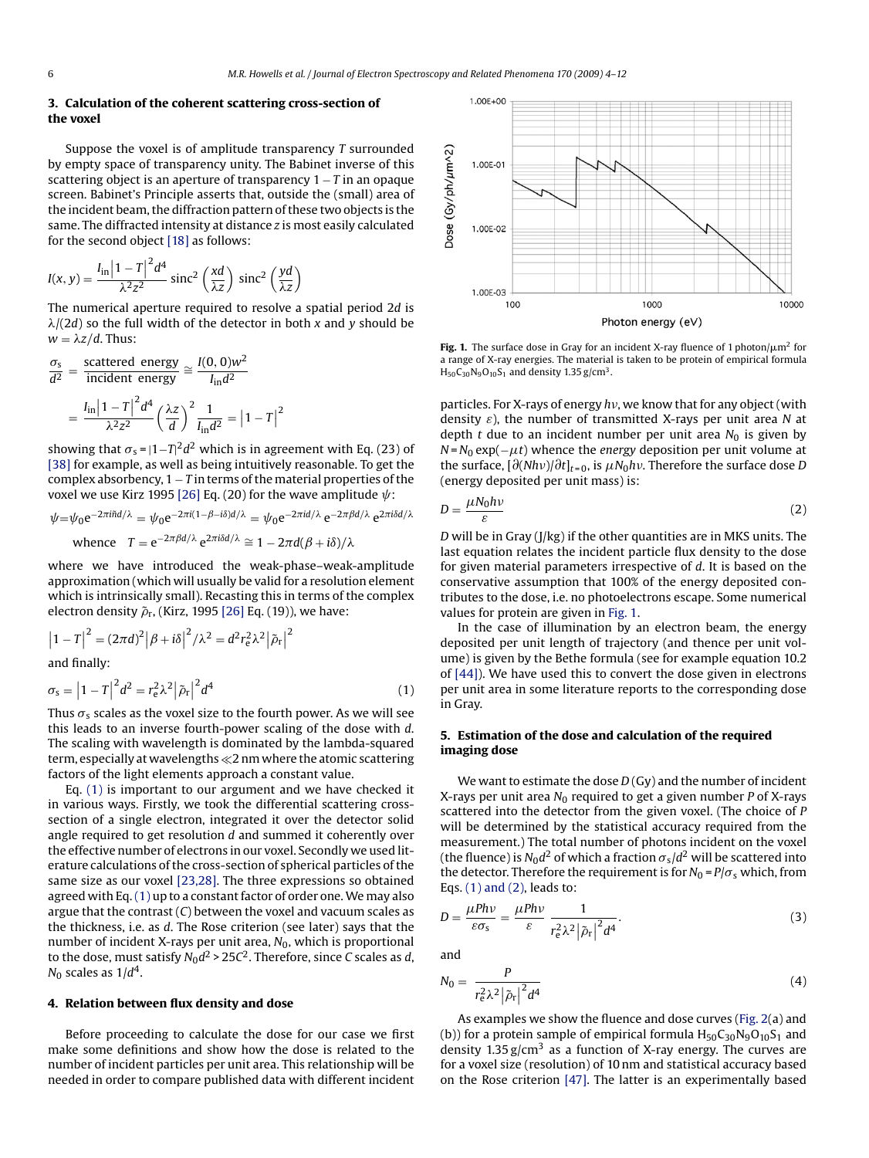## <span id="page-2-1"></span>**3. Calculation of the coherent scattering cross-section of the voxel**

Suppose the voxel is of amplitude transparency *T* surrounded by empty space of transparency unity. The Babinet inverse of this scattering object is an aperture of transparency 1 − *T* in an opaque screen. Babinet's Principle asserts that, outside the (small) area of the incident beam, the diffraction pattern of these two objects is the same. The diffracted intensity at distance *z* is most easily calculated for the second object [\[18\]](#page-7-20) as follows:

$$
I(x, y) = \frac{I_{\text{in}} \left| 1 - T \right|^2 d^4}{\lambda^2 z^2} \operatorname{sinc}^2 \left( \frac{xd}{\lambda z} \right) \operatorname{sinc}^2 \left( \frac{yd}{\lambda z} \right)
$$

The numerical aperture required to resolve a spatial period 2*d* is  $\lambda/(2d)$  so the full width of the detector in both x and y should be  $w = \lambda z/d$ . Thus:

$$
\frac{\sigma_{\rm s}}{d^2} = \frac{\text{scattered energy}}{\text{incident energy}} \approx \frac{I(0,0)w^2}{I_{\rm in}d^2}
$$

$$
= \frac{I_{\rm in} |1 - T|^2 d^4}{\lambda^2 z^2} \left(\frac{\lambda z}{d}\right)^2 \frac{1}{I_{\rm in}d^2} = |1 - T|^2
$$

showing that  $\sigma_s = |1 - T|^2 d^2$  which is in agreement with Eq. (23) of [\[38\]](#page-7-21) for example, as well as being intuitively reasonable. To get the complex absorbency, 1 − *T* in terms of the material properties of the voxel we use Kirz 1995 [\[26\]](#page-7-13) Eq. (20) for the wave amplitude  $\psi$ :

$$
\psi = \psi_0 e^{-2\pi i \tilde{n} d/\lambda} = \psi_0 e^{-2\pi i (1-\beta - i\delta) d/\lambda} = \psi_0 e^{-2\pi i d/\lambda} e^{-2\pi \beta d/\lambda} e^{2\pi i \delta d/\lambda}
$$
  
whence  $T = e^{-2\pi \beta d/\lambda} e^{2\pi i \delta d/\lambda} \approx 1 - 2\pi d(\beta + i\delta)/\lambda$ 

where we have introduced the weak-phase–weak-amplitude approximation (which will usually be valid for a resolution element which is intrinsically small). Recasting this in terms of the complex electron density  $\tilde{\rho}_{r}$ , (Kirz, 1995 [\[26\]](#page-7-13) Eq. (19)), we have:

<span id="page-2-0"></span>
$$
\left|1 - T\right|^2 = (2\pi d)^2 \left|\beta + i\delta\right|^2 / \lambda^2 = d^2 r_e^2 \lambda^2 \left|\tilde{\rho}_r\right|^2
$$
  
and finally:

$$
\sigma_{\rm s} = |1 - T|^2 d^2 = r_{\rm e}^2 \lambda^2 |\tilde{\rho}_{\rm r}|^2 d^4 \tag{1}
$$

Thus  $\sigma_s$  scales as the voxel size to the fourth power. As we will see this leads to an inverse fourth-power scaling of the dose with *d*. The scaling with wavelength is dominated by the lambda-squared term, especially at wavelengths  $\ll$  2 nm where the atomic scattering factors of the light elements approach a constant value.

<span id="page-2-2"></span>Eq. [\(1\)](#page-2-0) is important to our argument and we have checked it in various ways. Firstly, we took the differential scattering crosssection of a single electron, integrated it over the detector solid angle required to get resolution *d* and summed it coherently over the effective number of electrons in our voxel. Secondly we used literature calculations of the cross-section of spherical particles of the same size as our voxel [\[23,28\]. T](#page-7-22)he three expressions so obtained agreed with Eq.[\(1\)](#page-2-0) up to a constant factor of order one.We may also argue that the contrast (*C*) between the voxel and vacuum scales as the thickness, i.e. as *d*. The Rose criterion (see later) says that the number of incident X-rays per unit area, *N*<sub>0</sub>, which is proportional to the dose, must satisfy  $N_0 d^2 > 25C^2$ . Therefore, since *C* scales as *d*,  $N_0$  scales as  $1/d<sup>4</sup>$ .

# **4. Relation between flux density and dose**

Before proceeding to calculate the dose for our case we first make some definitions and show how the dose is related to the number of incident particles per unit area. This relationship will be needed in order to compare published data with different incident



**Fig. 1.** The surface dose in Gray for an incident X-ray fluence of 1 photon/ $\mu$ m<sup>2</sup> for a range of X-ray energies. The material is taken to be protein of empirical formula  $H_{50}C_{30}N_9O_{10}S_1$  and density 1.35 g/cm<sup>3</sup>.

particles. For X-rays of energy hv, we know that for any object (with density ε), the number of transmitted X-rays per unit area *N* at depth  $t$  due to an incident number per unit area  $N_0$  is given by  $N = N_0 \exp(-\mu t)$  whence the *energy* deposition per unit volume at the surface,  $\left[\frac{\partial (Nh\nu)}{\partial t}\right]_{t=0}$ , is  $\mu N_0 h\nu$ . Therefore the surface dose *D* (energy deposited per unit mass) is:

$$
D = \frac{\mu N_0 h \nu}{\varepsilon} \tag{2}
$$

*D* will be in Gray (J/kg) if the other quantities are in MKS units. The last equation relates the incident particle flux density to the dose for given material parameters irrespective of *d*. It is based on the conservative assumption that 100% of the energy deposited contributes to the dose, i.e. no photoelectrons escape. Some numerical values for protein are given in [Fig. 1.](#page-2-1)

In the case of illumination by an electron beam, the energy deposited per unit length of trajectory (and thence per unit volume) is given by the Bethe formula (see for example equation 10.2 of [\[44\]\).](#page-7-23) We have used this to convert the dose given in electrons per unit area in some literature reports to the corresponding dose in Gray.

# **5. Estimation of the dose and calculation of the required imaging dose**

We want to estimate the dose *D* (Gy) and the number of incident X-rays per unit area *N*<sup>0</sup> required to get a given number *P* of X-rays scattered into the detector from the given voxel. (The choice of *P* will be determined by the statistical accuracy required from the measurement.) The total number of photons incident on the voxel (the fluence) is  $N_0d^2$  of which a fraction  $\sigma_s/d^2$  will be scattered into the detector. Therefore the requirement is for  $N_0 = P/\sigma_s$  which, from Eqs. [\(1\) and \(2\), l](#page-2-0)eads to:

$$
D = \frac{\mu P h \nu}{\varepsilon \sigma_s} = \frac{\mu P h \nu}{\varepsilon} \frac{1}{r_e^2 \lambda^2 |\tilde{\rho}_r|^2 d^4}.
$$
 (3)

and

$$
N_0 = \frac{P}{r_e^2 \lambda^2 |\tilde{\rho}_r|^2 d^4} \tag{4}
$$

As examples we show the fluence and dose curves ([Fig. 2\(a](#page-3-0)) and (b)) for a protein sample of empirical formula  $H_{50}C_{30}N_9O_{10}S_1$  and density  $1.35 \text{ g/cm}^3$  as a function of X-ray energy. The curves are for a voxel size (resolution) of 10 nm and statistical accuracy based on the Rose criterion [\[47\].](#page-7-12) The latter is an experimentally based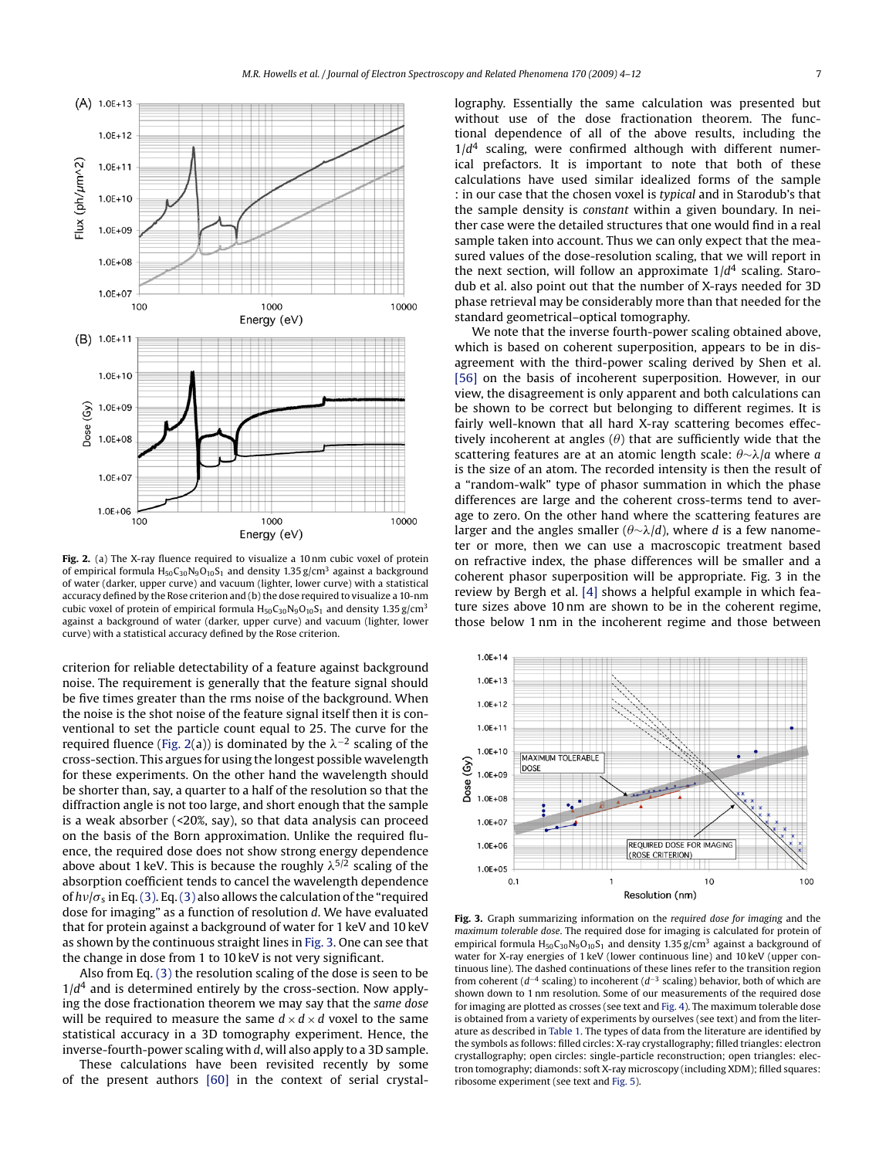<span id="page-3-0"></span>

<span id="page-3-1"></span>**Fig. 2.** (a) The X-ray fluence required to visualize a 10 nm cubic voxel of protein of empirical formula  $H_{50}C_{30}N_9O_{10}S_1$  and density 1.35 g/cm<sup>3</sup> against a background of water (darker, upper curve) and vacuum (lighter, lower curve) with a statistical accuracy defined by the Rose criterion and (b) the dose required to visualize a 10-nm cubic voxel of protein of empirical formula  $H_{50}C_{30}N_9O_{10}S_1$  and density 1.35 g/cm<sup>3</sup> against a background of water (darker, upper curve) and vacuum (lighter, lower curve) with a statistical accuracy defined by the Rose criterion.

criterion for reliable detectability of a feature against background noise. The requirement is generally that the feature signal should be five times greater than the rms noise of the background. When the noise is the shot noise of the feature signal itself then it is conventional to set the particle count equal to 25. The curve for the required fluence ([Fig. 2\(a](#page-3-0))) is dominated by the  $\lambda^{-2}$  scaling of the cross-section. This argues for using the longest possible wavelength for these experiments. On the other hand the wavelength should be shorter than, say, a quarter to a half of the resolution so that the diffraction angle is not too large, and short enough that the sample is a weak absorber (<20%, say), so that data analysis can proceed on the basis of the Born approximation. Unlike the required fluence, the required dose does not show strong energy dependence above about 1 keV. This is because the roughly  $\lambda^{5/2}$  scaling of the absorption coefficient tends to cancel the wavelength dependence of  $h\nu/\sigma_s$  in Eq. [\(3\). E](#page-2-2)q. [\(3\)](#page-2-2) also allows the calculation of the "required dose for imaging" as a function of resolution *d*. We have evaluated that for protein against a background of water for 1 keV and 10 keV as shown by the continuous straight lines in [Fig. 3. O](#page-3-1)ne can see that the change in dose from 1 to 10 keV is not very significant.

Also from Eq. [\(3\)](#page-2-2) the resolution scaling of the dose is seen to be  $1/d<sup>4</sup>$  and is determined entirely by the cross-section. Now applying the dose fractionation theorem we may say that the *same dose* will be required to measure the same  $d \times d \times d$  voxel to the same statistical accuracy in a 3D tomography experiment. Hence, the inverse-fourth-power scaling with *d*, will also apply to a 3D sample.

These calculations have been revisited recently by some of the present authors [\[60\]](#page-8-1) in the context of serial crystallography. Essentially the same calculation was presented but without use of the dose fractionation theorem. The functional dependence of all of the above results, including the 1/d<sup>4</sup> scaling, were confirmed although with different numerical prefactors. It is important to note that both of these calculations have used similar idealized forms of the sample : in our case that the chosen voxel is *typical* and in Starodub's that the sample density is *constant* within a given boundary. In neither case were the detailed structures that one would find in a real sample taken into account. Thus we can only expect that the measured values of the dose-resolution scaling, that we will report in the next section, will follow an approximate  $1/d<sup>4</sup>$  scaling. Starodub et al. also point out that the number of X-rays needed for 3D phase retrieval may be considerably more than that needed for the standard geometrical–optical tomography.

We note that the inverse fourth-power scaling obtained above, which is based on coherent superposition, appears to be in disagreement with the third-power scaling derived by Shen et al. [\[56\]](#page-8-2) on the basis of incoherent superposition. However, in our view, the disagreement is only apparent and both calculations can be shown to be correct but belonging to different regimes. It is fairly well-known that all hard X-ray scattering becomes effectively incoherent at angles  $(\theta)$  that are sufficiently wide that the scattering features are at an atomic length scale:  $\theta \sim \lambda/a$  where *a* is the size of an atom. The recorded intensity is then the result of a "random-walk" type of phasor summation in which the phase differences are large and the coherent cross-terms tend to average to zero. On the other hand where the scattering features are larger and the angles smaller ( $\theta$ ∼λ/*d*), where *d* is a few nanometer or more, then we can use a macroscopic treatment based on refractive index, the phase differences will be smaller and a coherent phasor superposition will be appropriate. Fig. 3 in the review by Bergh et al. [\[4\]](#page-7-5) shows a helpful example in which feature sizes above 10 nm are shown to be in the coherent regime, those below 1 nm in the incoherent regime and those between



**Fig. 3.** Graph summarizing information on the *required dose for imaging* and the *maximum tolerable dose*. The required dose for imaging is calculated for protein of empirical formula  $H_{50}C_{30}N_9O_{10}S_1$  and density 1.35 g/cm<sup>3</sup> against a background of water for X-ray energies of 1 keV (lower continuous line) and 10 keV (upper continuous line). The dashed continuations of these lines refer to the transition region from coherent (*d*−<sup>4</sup> scaling) to incoherent (*d*−<sup>3</sup> scaling) behavior, both of which are shown down to 1 nm resolution. Some of our measurements of the required dose for imaging are plotted as crosses (see text and [Fig. 4\).](#page-4-0) The maximum tolerable dose is obtained from a variety of experiments by ourselves (see text) and from the literature as described in [Table 1. T](#page-6-0)he types of data from the literature are identified by the symbols as follows: filled circles: X-ray crystallography; filled triangles: electron crystallography; open circles: single-particle reconstruction; open triangles: electron tomography; diamonds: soft X-ray microscopy (including XDM); filled squares: ribosome experiment (see text and [Fig. 5\).](#page-5-0)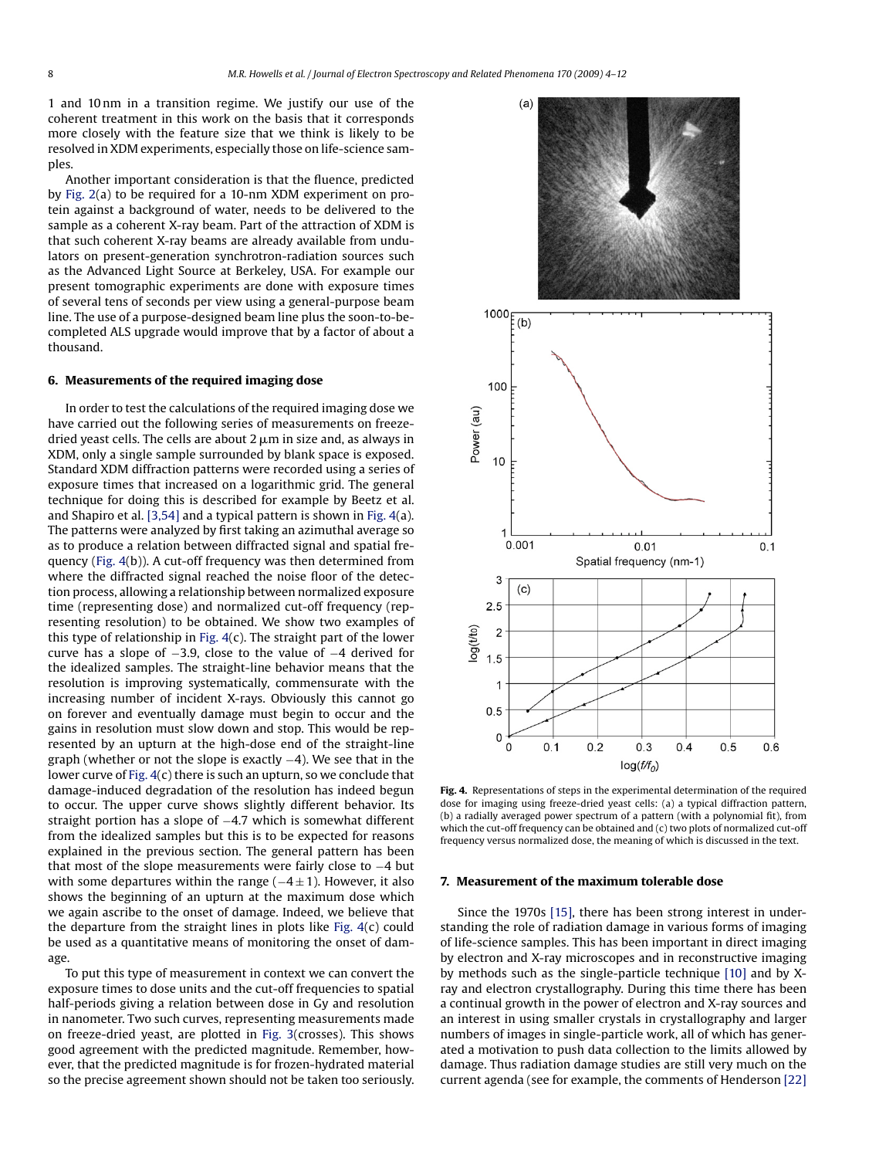<span id="page-4-0"></span>1 and 10 nm in a transition regime. We justify our use of the coherent treatment in this work on the basis that it corresponds more closely with the feature size that we think is likely to be resolved in XDM experiments, especially those on life-science samples.

Another important consideration is that the fluence, predicted by [Fig. 2\(a](#page-3-0)) to be required for a 10-nm XDM experiment on protein against a background of water, needs to be delivered to the sample as a coherent X-ray beam. Part of the attraction of XDM is that such coherent X-ray beams are already available from undulators on present-generation synchrotron-radiation sources such as the Advanced Light Source at Berkeley, USA. For example our present tomographic experiments are done with exposure times of several tens of seconds per view using a general-purpose beam line. The use of a purpose-designed beam line plus the soon-to-becompleted ALS upgrade would improve that by a factor of about a thousand.

#### **6. Measurements of the required imaging dose**

In order to test the calculations of the required imaging dose we have carried out the following series of measurements on freezedried yeast cells. The cells are about  $2 \mu m$  in size and, as always in XDM, only a single sample surrounded by blank space is exposed. Standard XDM diffraction patterns were recorded using a series of exposure times that increased on a logarithmic grid. The general technique for doing this is described for example by Beetz et al. and Shapiro et al. [\[3,54\]](#page-7-1) and a typical pattern is shown in [Fig. 4\(a](#page-4-0)). The patterns were analyzed by first taking an azimuthal average so as to produce a relation between diffracted signal and spatial frequency [\(Fig. 4\(b](#page-4-0))). A cut-off frequency was then determined from where the diffracted signal reached the noise floor of the detection process, allowing a relationship between normalized exposure time (representing dose) and normalized cut-off frequency (representing resolution) to be obtained. We show two examples of this type of relationship in [Fig. 4\(c](#page-4-0)). The straight part of the lower curve has a slope of −3.9, close to the value of −4 derived for the idealized samples. The straight-line behavior means that the resolution is improving systematically, commensurate with the increasing number of incident X-rays. Obviously this cannot go on forever and eventually damage must begin to occur and the gains in resolution must slow down and stop. This would be represented by an upturn at the high-dose end of the straight-line graph (whether or not the slope is exactly −4). We see that in the lower curve of [Fig. 4\(c](#page-4-0)) there is such an upturn, so we conclude that damage-induced degradation of the resolution has indeed begun to occur. The upper curve shows slightly different behavior. Its straight portion has a slope of −4.7 which is somewhat different from the idealized samples but this is to be expected for reasons explained in the previous section. The general pattern has been that most of the slope measurements were fairly close to −4 but with some departures within the range  $(-4 \pm 1)$ . However, it also shows the beginning of an upturn at the maximum dose which we again ascribe to the onset of damage. Indeed, we believe that the departure from the straight lines in plots like [Fig. 4\(c](#page-4-0)) could be used as a quantitative means of monitoring the onset of damage.

To put this type of measurement in context we can convert the exposure times to dose units and the cut-off frequencies to spatial half-periods giving a relation between dose in Gy and resolution in nanometer. Two such curves, representing measurements made on freeze-dried yeast, are plotted in [Fig. 3\(c](#page-3-1)rosses). This shows good agreement with the predicted magnitude. Remember, however, that the predicted magnitude is for frozen-hydrated material so the precise agreement shown should not be taken too seriously.



**Fig. 4.** Representations of steps in the experimental determination of the required dose for imaging using freeze-dried yeast cells: (a) a typical diffraction pattern, (b) a radially averaged power spectrum of a pattern (with a polynomial fit), from which the cut-off frequency can be obtained and (c) two plots of normalized cut-off frequency versus normalized dose, the meaning of which is discussed in the text.

### **7. Measurement of the maximum tolerable dose**

Since the 1970s [\[15\],](#page-7-25) there has been strong interest in understanding the role of radiation damage in various forms of imaging of life-science samples. This has been important in direct imaging by electron and X-ray microscopes and in reconstructive imaging by methods such as the single-particle technique [\[10\]](#page-7-26) and by Xray and electron crystallography. During this time there has been a continual growth in the power of electron and X-ray sources and an interest in using smaller crystals in crystallography and larger numbers of images in single-particle work, all of which has generated a motivation to push data collection to the limits allowed by damage. Thus radiation damage studies are still very much on the current agenda (see for example, the comments of Henderson [\[22\]](#page-7-24)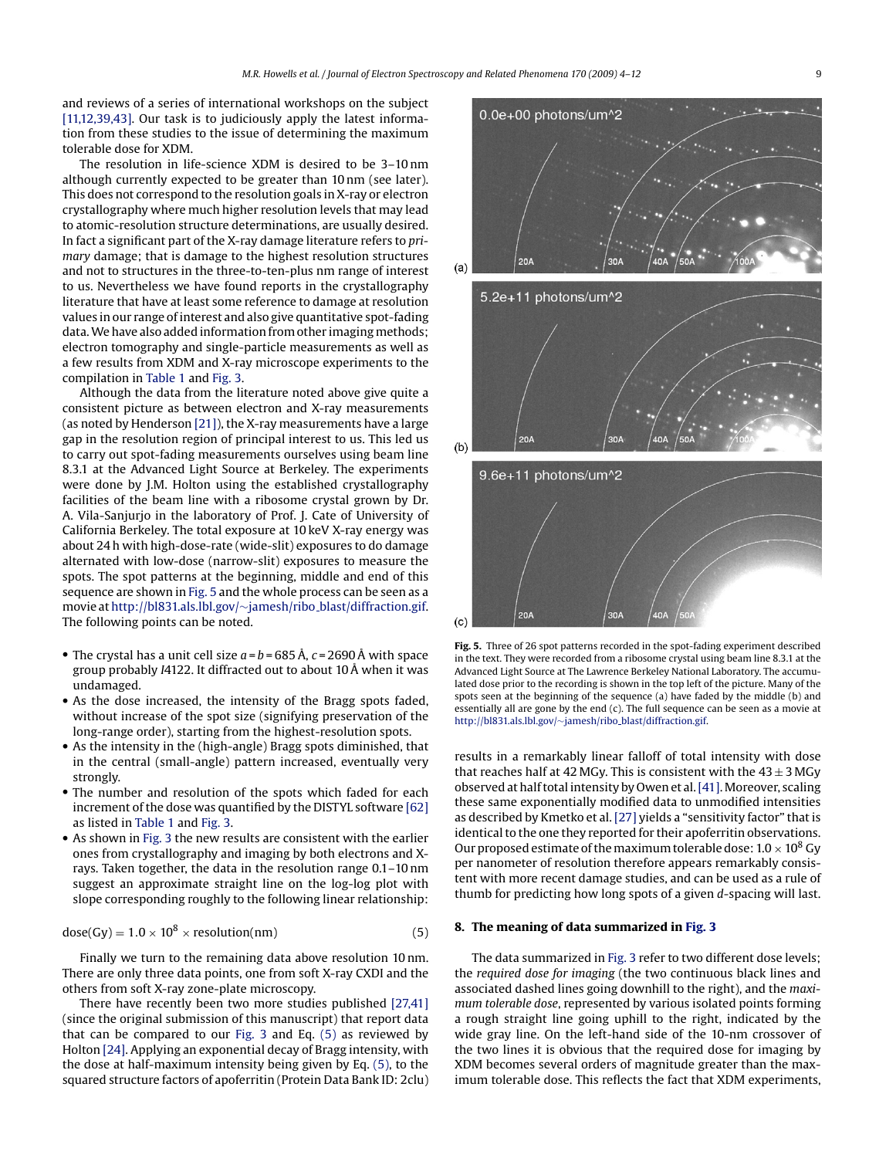<span id="page-5-0"></span>and reviews of a series of international workshops on the subject [\[11,12,39,43\].](#page-7-27) Our task is to judiciously apply the latest information from these studies to the issue of determining the maximum tolerable dose for XDM.

The resolution in life-science XDM is desired to be 3–10 nm although currently expected to be greater than 10 nm (see later). This does not correspond to the resolution goals in X-ray or electron crystallography where much higher resolution levels that may lead to atomic-resolution structure determinations, are usually desired. In fact a significant part of the X-ray damage literature refers to *primary* damage; that is damage to the highest resolution structures and not to structures in the three-to-ten-plus nm range of interest to us. Nevertheless we have found reports in the crystallography literature that have at least some reference to damage at resolution values in our range of interest and also give quantitative spot-fading data.We have also added information from other imaging methods; electron tomography and single-particle measurements as well as a few results from XDM and X-ray microscope experiments to the compilation in [Table 1](#page-6-0) and [Fig. 3.](#page-3-1)

Although the data from the literature noted above give quite a consistent picture as between electron and X-ray measurements (as noted by Henderson [\[21\]\),](#page-7-28) the X-ray measurements have a large gap in the resolution region of principal interest to us. This led us to carry out spot-fading measurements ourselves using beam line 8.3.1 at the Advanced Light Source at Berkeley. The experiments were done by J.M. Holton using the established crystallography facilities of the beam line with a ribosome crystal grown by Dr. A. Vila-Sanjurjo in the laboratory of Prof. J. Cate of University of California Berkeley. The total exposure at 10 keV X-ray energy was about 24 h with high-dose-rate (wide-slit) exposures to do damage alternated with low-dose (narrow-slit) exposures to measure the spots. The spot patterns at the beginning, middle and end of this sequence are shown in [Fig. 5](#page-5-0) and the whole process can be seen as a movie at[http://bl831.als.lbl.gov/](http://bl831.als.lbl.gov/~jamesh/ribo_blast/diffraction.gif)∼jamesh/ribo blast/diffraction.gif. The following points can be noted.

- The crystal has a unit cell size  $a = b = 685 \text{ Å}$ ,  $c = 2690 \text{ Å}$  with space group probably *I*4122. It diffracted out to about 10 Å when it was undamaged.
- As the dose increased, the intensity of the Bragg spots faded, without increase of the spot size (signifying preservation of the long-range order), starting from the highest-resolution spots.
- As the intensity in the (high-angle) Bragg spots diminished, that in the central (small-angle) pattern increased, eventually very strongly.
- The number and resolution of the spots which faded for each increment of the dose was quantified by the DISTYL software [\[62\]](#page-8-3) as listed in [Table 1](#page-6-0) and [Fig. 3.](#page-3-1)
- <span id="page-5-1"></span>• As shown in [Fig. 3](#page-3-1) the new results are consistent with the earlier ones from crystallography and imaging by both electrons and Xrays. Taken together, the data in the resolution range 0.1–10 nm suggest an approximate straight line on the log-log plot with slope corresponding roughly to the following linear relationship:

$$
dose(Gy) = 1.0 \times 10^8 \times resolution(nm)
$$
 (5)

Finally we turn to the remaining data above resolution 10 nm. There are only three data points, one from soft X-ray CXDI and the others from soft X-ray zone-plate microscopy.

There have recently been two more studies published [\[27,41\]](#page-7-29) (since the original submission of this manuscript) that report data that can be compared to our [Fig. 3](#page-3-1) and Eq. [\(5\)](#page-5-1) as reviewed by Holton [\[24\]. A](#page-7-30)pplying an exponential decay of Bragg intensity, with the dose at half-maximum intensity being given by Eq. [\(5\), t](#page-5-1)o the squared structure factors of apoferritin (Protein Data Bank ID: 2clu)



**Fig. 5.** Three of 26 spot patterns recorded in the spot-fading experiment described in the text. They were recorded from a ribosome crystal using beam line 8.3.1 at the Advanced Light Source at The Lawrence Berkeley National Laboratory. The accumulated dose prior to the recording is shown in the top left of the picture. Many of the spots seen at the beginning of the sequence (a) have faded by the middle (b) and essentially all are gone by the end (c). The full sequence can be seen as a movie at [http://bl831.als.lbl.gov/](http://bl831.als.lbl.gov/~jamesh/ribo_blast/diffraction.gif)∼jamesh/ribo blast/diffraction.gif.

results in a remarkably linear falloff of total intensity with dose that reaches half at 42 MGy. This is consistent with the  $43 \pm 3$  MGy observed at half total intensity by Owen et al.[\[41\].M](#page-7-31)oreover, scaling these same exponentially modified data to unmodified intensities as described by Kmetko et al. [\[27\]](#page-7-29) yields a "sensitivity factor" that is identical to the one they reported for their apoferritin observations. Our proposed estimate of the maximum tolerable dose:  $1.0 \times 10^8$  Gy per nanometer of resolution therefore appears remarkably consistent with more recent damage studies, and can be used as a rule of thumb for predicting how long spots of a given *d*-spacing will last.

## **8. The meaning of data summarized in [Fig. 3](#page-3-1)**

The data summarized in [Fig. 3](#page-3-1) refer to two different dose levels; the *required dose for imaging* (the two continuous black lines and associated dashed lines going downhill to the right), and the *maximum tolerable dose*, represented by various isolated points forming a rough straight line going uphill to the right, indicated by the wide gray line. On the left-hand side of the 10-nm crossover of the two lines it is obvious that the required dose for imaging by XDM becomes several orders of magnitude greater than the maximum tolerable dose. This reflects the fact that XDM experiments,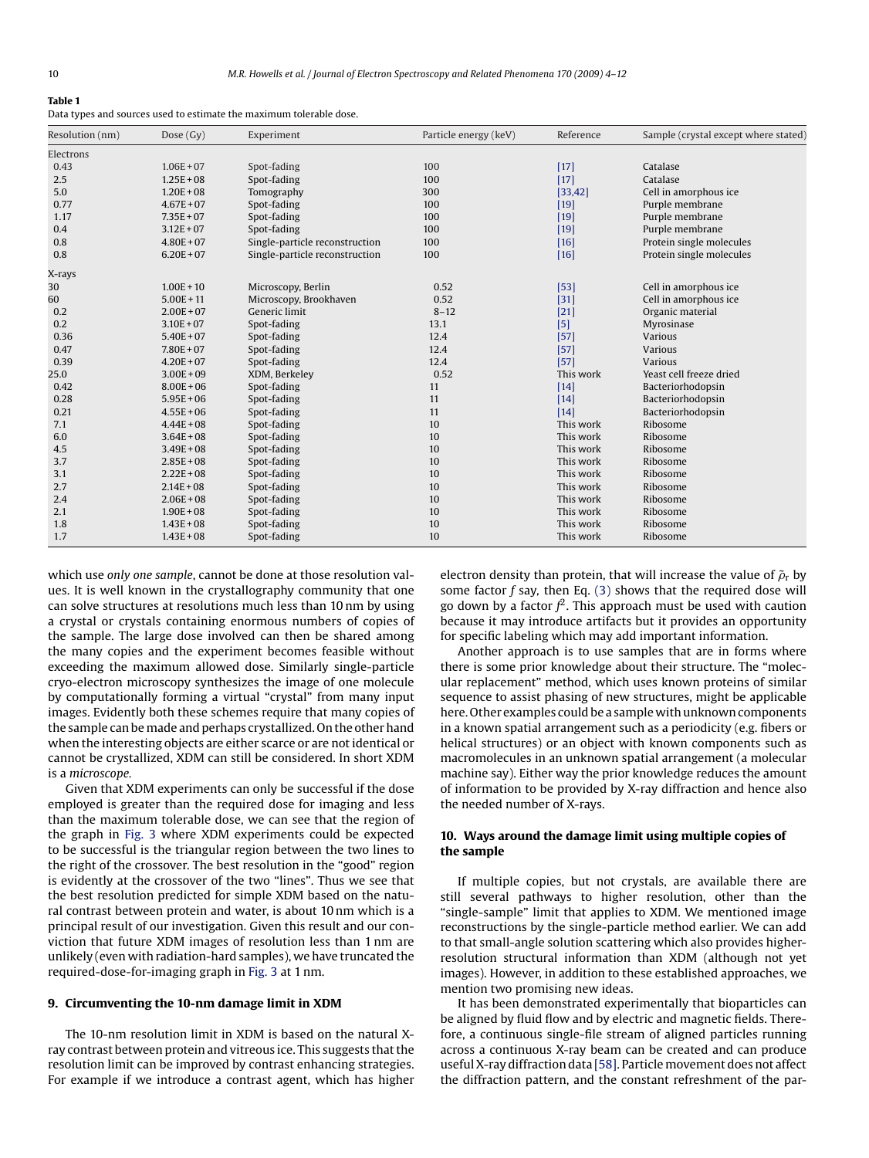#### <span id="page-6-0"></span>**Table 1**

Data types and sources used to estimate the maximum tolerable dose.

| Resolution (nm) | Dose $(Gy)$  | Experiment                     | Particle energy (keV) | Reference | Sample (crystal except where stated) |
|-----------------|--------------|--------------------------------|-----------------------|-----------|--------------------------------------|
| Electrons       |              |                                |                       |           |                                      |
| 0.43            | $1.06E + 07$ | Spot-fading                    | 100                   | $[17]$    | Catalase                             |
| 2.5             | $1.25E + 08$ | Spot-fading                    | 100                   | $[17]$    | Catalase                             |
| 5.0             | $1.20E + 08$ | Tomography                     | 300                   | [33, 42]  | Cell in amorphous ice                |
| 0.77            | $4.67E + 07$ | Spot-fading                    | 100                   | $[19]$    | Purple membrane                      |
| 1.17            | $7.35E + 07$ | Spot-fading                    | 100                   | $[19]$    | Purple membrane                      |
| 0.4             | $3.12E + 07$ | Spot-fading                    | 100                   | $[19]$    | Purple membrane                      |
| 0.8             | $4.80E + 07$ | Single-particle reconstruction | 100                   | $[16]$    | Protein single molecules             |
| 0.8             | $6.20E + 07$ | Single-particle reconstruction | 100                   | $[16]$    | Protein single molecules             |
| X-rays          |              |                                |                       |           |                                      |
| 30              | $1.00E + 10$ | Microscopy, Berlin             | 0.52                  | $[53]$    | Cell in amorphous ice                |
| 60              | $5.00E + 11$ | Microscopy, Brookhaven         | 0.52                  | $[31]$    | Cell in amorphous ice                |
| 0.2             | $2.00E + 07$ | Generic limit                  | $8 - 12$              | $[21]$    | Organic material                     |
| 0.2             | $3.10E + 07$ | Spot-fading                    | 13.1                  | $[5]$     | Myrosinase                           |
| 0.36            | $5.40E + 07$ | Spot-fading                    | 12.4                  | $[57]$    | Various                              |
| 0.47            | $7.80E + 07$ | Spot-fading                    | 12.4                  | $[57]$    | Various                              |
| 0.39            | $4.20E + 07$ | Spot-fading                    | 12.4                  | $[57]$    | Various                              |
| 25.0            | $3.00E + 09$ | XDM, Berkeley                  | 0.52                  | This work | Yeast cell freeze dried              |
| 0.42            | $8.00E + 06$ | Spot-fading                    | 11                    | $[14]$    | Bacteriorhodopsin                    |
| 0.28            | $5.95E + 06$ | Spot-fading                    | 11                    | $[14]$    | Bacteriorhodopsin                    |
| 0.21            | $4.55E + 06$ | Spot-fading                    | 11                    | $[14]$    | Bacteriorhodopsin                    |
| 7.1             | $4.44E + 08$ | Spot-fading                    | 10                    | This work | Ribosome                             |
| 6.0             | $3.64E + 08$ | Spot-fading                    | 10                    | This work | Ribosome                             |
| 4.5             | $3.49E + 08$ | Spot-fading                    | 10                    | This work | Ribosome                             |
| 3.7             | $2.85E + 08$ | Spot-fading                    | 10                    | This work | Ribosome                             |
| 3.1             | $2.22E + 08$ | Spot-fading                    | 10                    | This work | Ribosome                             |
| 2.7             | $2.14E + 08$ | Spot-fading                    | 10                    | This work | Ribosome                             |
| 2.4             | $2.06E + 08$ | Spot-fading                    | 10                    | This work | Ribosome                             |
| 2.1             | $1.90E + 08$ | Spot-fading                    | 10                    | This work | Ribosome                             |
| 1.8             | $1.43E + 08$ | Spot-fading                    | 10                    | This work | Ribosome                             |
| 1.7             | $1.43E + 08$ | Spot-fading                    | 10                    | This work | Ribosome                             |

which use *only one sample*, cannot be done at those resolution values. It is well known in the crystallography community that one can solve structures at resolutions much less than 10 nm by using a crystal or crystals containing enormous numbers of copies of the sample. The large dose involved can then be shared among the many copies and the experiment becomes feasible without exceeding the maximum allowed dose. Similarly single-particle cryo-electron microscopy synthesizes the image of one molecule by computationally forming a virtual "crystal" from many input images. Evidently both these schemes require that many copies of the sample can be made and perhaps crystallized. On the other hand when the interesting objects are either scarce or are not identical or cannot be crystallized, XDM can still be considered. In short XDM is a *microscope.*

Given that XDM experiments can only be successful if the dose employed is greater than the required dose for imaging and less than the maximum tolerable dose, we can see that the region of the graph in [Fig. 3](#page-3-1) where XDM experiments could be expected to be successful is the triangular region between the two lines to the right of the crossover. The best resolution in the "good" region is evidently at the crossover of the two "lines". Thus we see that the best resolution predicted for simple XDM based on the natural contrast between protein and water, is about 10 nm which is a principal result of our investigation. Given this result and our conviction that future XDM images of resolution less than 1 nm are unlikely (even with radiation-hard samples), we have truncated the required-dose-for-imaging graph in [Fig. 3](#page-3-1) at 1 nm.

# **9. Circumventing the 10-nm damage limit in XDM**

The 10-nm resolution limit in XDM is based on the natural Xray contrast between protein and vitreous ice. This suggests that the resolution limit can be improved by contrast enhancing strategies. For example if we introduce a contrast agent, which has higher electron density than protein, that will increase the value of  $\tilde{\rho}_r$  by some factor *f* say*,* then Eq. [\(3\)](#page-2-2) shows that the required dose will go down by a factor *f* 2. This approach must be used with caution because it may introduce artifacts but it provides an opportunity for specific labeling which may add important information.

Another approach is to use samples that are in forms where there is some prior knowledge about their structure. The "molecular replacement" method, which uses known proteins of similar sequence to assist phasing of new structures, might be applicable here. Other examples could be a sample with unknown components in a known spatial arrangement such as a periodicity (e.g. fibers or helical structures) or an object with known components such as macromolecules in an unknown spatial arrangement (a molecular machine say). Either way the prior knowledge reduces the amount of information to be provided by X-ray diffraction and hence also the needed number of X-rays.

# **10. Ways around the damage limit using multiple copies of the sample**

If multiple copies, but not crystals, are available there are still several pathways to higher resolution, other than the "single-sample" limit that applies to XDM. We mentioned image reconstructions by the single-particle method earlier. We can add to that small-angle solution scattering which also provides higherresolution structural information than XDM (although not yet images). However, in addition to these established approaches, we mention two promising new ideas.

It has been demonstrated experimentally that bioparticles can be aligned by fluid flow and by electric and magnetic fields. Therefore, a continuous single-file stream of aligned particles running across a continuous X-ray beam can be created and can produce useful X-ray diffraction data [\[58\]. P](#page-8-3)article movement does not affect the diffraction pattern, and the constant refreshment of the par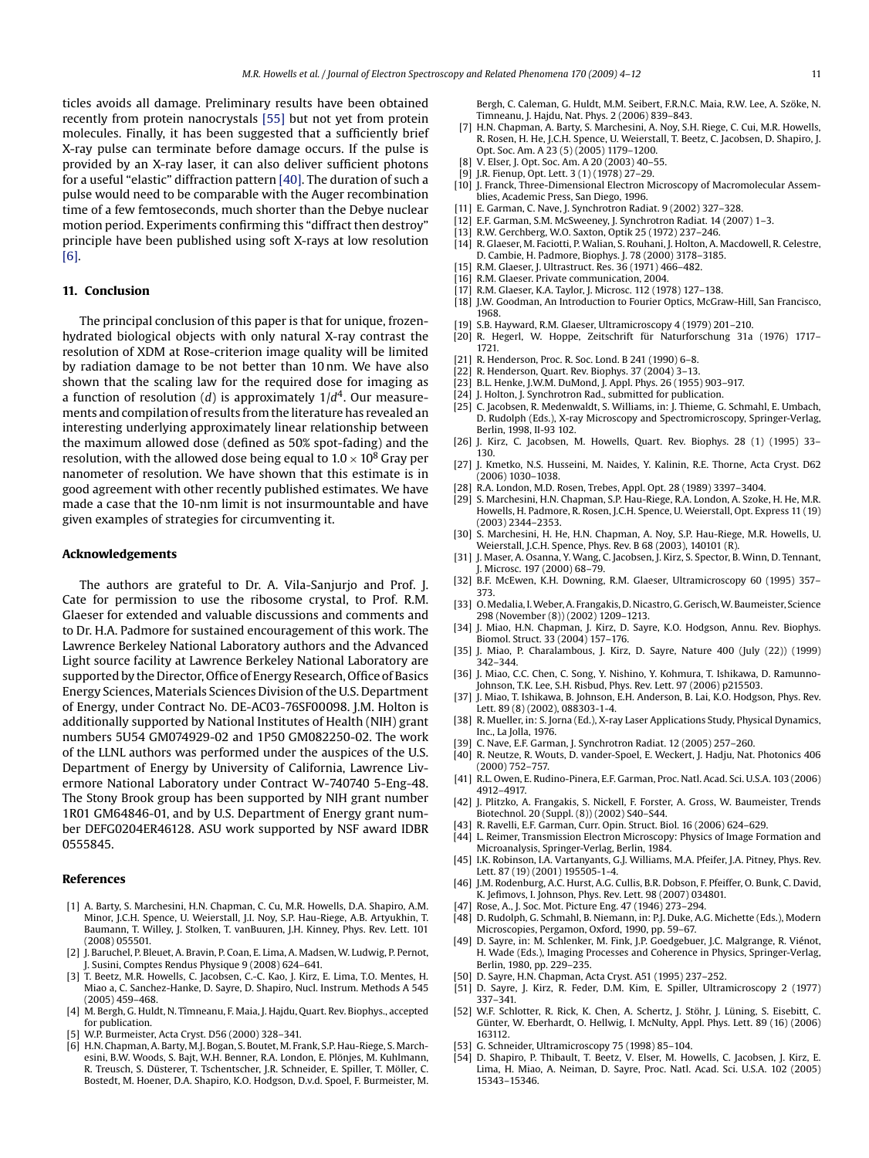<span id="page-7-38"></span><span id="page-7-34"></span><span id="page-7-27"></span><span id="page-7-26"></span><span id="page-7-25"></span><span id="page-7-11"></span><span id="page-7-7"></span>ticles avoids all damage. Preliminary results have been obtained recently from protein nanocrystals [\[55\]](#page-8-1) but not yet from protein molecules. Finally, it has been suggested that a sufficiently brief X-ray pulse can terminate before damage occurs. If the pulse is provided by an X-ray laser, it can also deliver sufficient photons for a useful "elastic" diffraction pattern [\[40\]. T](#page-7-39)he duration of such a pulse would need to be comparable with the Auger recombination time of a few femtoseconds, much shorter than the Debye nuclear motion period. Experiments confirming this "diffract then destroy" principle have been published using soft X-rays at low resolution [\[6\].](#page-7-35)

# <span id="page-7-33"></span><span id="page-7-32"></span><span id="page-7-28"></span><span id="page-7-24"></span><span id="page-7-22"></span><span id="page-7-20"></span><span id="page-7-18"></span>**11. Conclusion**

<span id="page-7-30"></span><span id="page-7-29"></span><span id="page-7-17"></span><span id="page-7-13"></span><span id="page-7-0"></span>The principal conclusion of this paper is that for unique, frozenhydrated biological objects with only natural X-ray contrast the resolution of XDM at Rose-criterion image quality will be limited by radiation damage to be not better than 10 nm. We have also shown that the scaling law for the required dose for imaging as a function of resolution (*d*) is approximately 1/*d*4. Our measurements and compilation of results from the literature has revealed an interesting underlying approximately linear relationship between the maximum allowed dose (defined as 50% spot-fading) and the resolution, with the allowed dose being equal to  $1.0 \times 10^8$  Gray per nanometer of resolution. We have shown that this estimate is in good agreement with other recently published estimates. We have made a case that the 10-nm limit is not insurmountable and have given examples of strategies for circumventing it.

#### <span id="page-7-36"></span><span id="page-7-19"></span><span id="page-7-15"></span><span id="page-7-9"></span><span id="page-7-6"></span>**Acknowledgements**

<span id="page-7-39"></span><span id="page-7-31"></span><span id="page-7-21"></span><span id="page-7-16"></span><span id="page-7-10"></span>The authors are grateful to Dr. A. Vila-Sanjurjo and Prof. J. Cate for permission to use the ribosome crystal, to Prof. R.M. Glaeser for extended and valuable discussions and comments and to Dr. H.A. Padmore for sustained encouragement of this work. The Lawrence Berkeley National Laboratory authors and the Advanced Light source facility at Lawrence Berkeley National Laboratory are supported by the Director, Office of Energy Research, Office of Basics Energy Sciences, Materials Sciences Division of the U.S. Department of Energy, under Contract No. DE-AC03-76SF00098. J.M. Holton is additionally supported by National Institutes of Health (NIH) grant numbers 5U54 GM074929-02 and 1P50 GM082250-02. The work of the LLNL authors was performed under the auspices of the U.S. Department of Energy by University of California, Lawrence Livermore National Laboratory under Contract W-740740 5-Eng-48. The Stony Brook group has been supported by NIH grant number 1R01 GM64846-01, and by U.S. Department of Energy grant number DEFG0204ER46128. ASU work supported by NSF award IDBR 0555845.

### <span id="page-7-23"></span><span id="page-7-12"></span><span id="page-7-8"></span><span id="page-7-4"></span><span id="page-7-3"></span><span id="page-7-2"></span><span id="page-7-1"></span>**References**

- <span id="page-7-5"></span>[1] A. Barty, S. Marchesini, H.N. Chapman, C. Cu, M.R. Howells, D.A. Shapiro, A.M. Minor, J.C.H. Spence, U. Weierstall, J.I. Noy, S.P. Hau-Riege, A.B. Artyukhin, T. Baumann, T. Willey, J. Stolken, T. vanBuuren, J.H. Kinney, Phys. Rev. Lett. 101 (2008) 055501.
- <span id="page-7-37"></span><span id="page-7-35"></span>[2] J. Baruchel, P. Bleuet, A. Bravin, P. Coan, E. Lima, A. Madsen, W. Ludwig, P. Pernot, J. Susini, Comptes Rendus Physique 9 (2008) 624–641.
- <span id="page-7-14"></span>[3] T. Beetz, M.R. Howells, C. Jacobsen, C.-C. Kao, J. Kirz, E. Lima, T.O. Mentes, H. Miao a, C. Sanchez-Hanke, D. Sayre, D. Shapiro, Nucl. Instrum. Methods A 545 (2005) 459–468.
- [4] M. Bergh, G. Huldt, N. Tîmneanu, F. Maia, J. Hajdu, Quart. Rev. Biophys., accepted for publication.
- [5] W.P. Burmeister, Acta Cryst. D56 (2000) 328–341.
- [6] H.N. Chapman, A. Barty, M.J. Bogan, S. Boutet, M. Frank, S.P. Hau-Riege, S. Marchesini, B.W. Woods, S. Bajt, W.H. Benner, R.A. London, E. Plönjes, M. Kuhlmann, R. Treusch, S. Düsterer, T. Tschentscher, J.R. Schneider, E. Spiller, T. Möller, C. Bostedt, M. Hoener, D.A. Shapiro, K.O. Hodgson, D.v.d. Spoel, F. Burmeister, M.

Bergh, C. Caleman, G. Huldt, M.M. Seibert, F.R.N.C. Maia, R.W. Lee, A. Szöke, N. Timneanu, J. Hajdu, Nat. Phys. 2 (2006) 839–843.

- [7] H.N. Chapman, A. Barty, S. Marchesini, A. Noy, S.H. Riege, C. Cui, M.R. Howells, R. Rosen, H. He, J.C.H. Spence, U. Weierstall, T. Beetz, C. Jacobsen, D. Shapiro, J. Opt. Soc. Am. A 23 (5) (2005) 1179–1200.
- V. Elser, J. Opt. Soc. Am. A 20 (2003) 40–55.
- $[9]$  J.R. Fienup, Opt. Lett. 3  $(1)(1978)$  27–29.<br>[10] L. Franck. Three-Dimensional Electron M
- [10] J. Franck, Three-Dimensional Electron Microscopy of Macromolecular Assemblies, Academic Press, San Diego, 1996.
- [11] E. Garman, C. Nave, J. Synchrotron Radiat. 9 (2002) 327–328.
- [12] E.F. Garman, S.M. McSweeney, J. Synchrotron Radiat. 14 (2007) 1–3.
- [13] R.W. Gerchberg, W.O. Saxton, Optik 25 (1972) 237–246.
- [14] R. Glaeser, M. Faciotti, P. Walian, S. Rouhani, J. Holton, A. Macdowell, R. Celestre, D. Cambie, H. Padmore, Biophys. J. 78 (2000) 3178–3185.
- [15] R.M. Glaeser, J. Ultrastruct. Res. 36 (1971) 466–482.
- [16] R.M. Glaeser. Private communication, 2004.
- [17] R.M. Glaeser, K.A. Taylor, J. Microsc. 112 (1978) 127–138.
- [18] J.W. Goodman, An Introduction to Fourier Optics, McGraw-Hill, San Francisco, 1968.
- [19] S.B. Hayward, R.M. Glaeser, Ultramicroscopy 4 (1979) 201–210.
- [20] R. Hegerl, W. Hoppe, Zeitschrift für Naturforschung 31a (1976) 1717– 1721.
- [21] R. Henderson, Proc. R. Soc. Lond. B 241 (1990) 6–8.
- [22] R. Henderson, Quart. Rev. Biophys. 37 (2004) 3–13.
- [23] B.L. Henke, J.W.M. DuMond, J. Appl. Phys. 26 (1955) 903–917.
- [24] J. Holton, J. Synchrotron Rad., submitted for publication.
- [25] C. Jacobsen, R. Medenwaldt, S. Williams, in: J. Thieme, G. Schmahl, E. Umbach, D. Rudolph (Eds.), X-ray Microscopy and Spectromicroscopy, Springer-Verlag, Berlin, 1998, II-93 102.
- [26] J. Kirz, C. Jacobsen, M. Howells, Quart. Rev. Biophys. 28 (1) (1995) 33– 130.
- [27] J. Kmetko, N.S. Husseini, M. Naides, Y. Kalinin, R.E. Thorne, Acta Cryst. D62 (2006) 1030–1038.
- [28] R.A. London, M.D. Rosen, Trebes, Appl. Opt. 28 (1989) 3397–3404.
- [29] S. Marchesini, H.N. Chapman, S.P. Hau-Riege, R.A. London, A. Szoke, H. He, M.R. Howells, H. Padmore, R. Rosen, J.C.H. Spence, U. Weierstall, Opt. Express 11 (19) (2003) 2344–2353.
- [30] S. Marchesini, H. He, H.N. Chapman, A. Noy, S.P. Hau-Riege, M.R. Howells, U. Weierstall, J.C.H. Spence, Phys. Rev. B 68 (2003), 140101 (R).
- [31] J. Maser, A. Osanna, Y. Wang, C. Jacobsen, J. Kirz, S. Spector, B. Winn, D. Tennant, J. Microsc. 197 (2000) 68–79.
- [32] B.F. McEwen, K.H. Downing, R.M. Glaeser, Ultramicroscopy 60 (1995) 357– 373.
- [33] O. Medalia, I. Weber, A. Frangakis, D. Nicastro, G. Gerisch, W. Baumeister, Science 298 (November (8)) (2002) 1209–1213.
- [34] J. Miao, H.N. Chapman, J. Kirz, D. Sayre, K.O. Hodgson, Annu. Rev. Biophys. Biomol. Struct. 33 (2004) 157–176.
- [35] J. Miao, P. Charalambous, J. Kirz, D. Sayre, Nature 400 (July (22)) (1999) 342–344.
- [36] J. Miao, C.C. Chen, C. Song, Y. Nishino, Y. Kohmura, T. Ishikawa, D. Ramunno-Johnson, T.K. Lee, S.H. Risbud, Phys. Rev. Lett. 97 (2006) p215503.
- [37] J. Miao, T. Ishikawa, B. Johnson, E.H. Anderson, B. Lai, K.O. Hodgson, Phys. Rev. Lett. 89 (8) (2002), 088303-1-4.
- [38] R. Mueller, in: S. Jorna (Ed.), X-ray Laser Applications Study, Physical Dynamics, Inc., La Jolla, 1976.
- [39] C. Nave, E.F. Garman, J. Synchrotron Radiat. 12 (2005) 257–260.
- [40] R. Neutze, R. Wouts, D. vander-Spoel, E. Weckert, J. Hadju, Nat. Photonics 406 (2000) 752–757.
- [41] R.L. Owen, E. Rudino-Pinera, E.F. Garman, Proc. Natl. Acad. Sci. U.S.A. 103 (2006) 4912–4917.
- [42] J. Plitzko, A. Frangakis, S. Nickell, F. Forster, A. Gross, W. Baumeister, Trends Biotechnol. 20 (Suppl. (8)) (2002) S40–S44.
- [43] R. Ravelli, E.F. Garman, Curr. Opin. Struct. Biol. 16 (2006) 624–629.
- [44] L. Reimer, Transmission Electron Microscopy: Physics of Image Formation and Microanalysis, Springer-Verlag, Berlin, 1984.
- [45] I.K. Robinson, I.A. Vartanyants, G.J. Williams, M.A. Pfeifer, J.A. Pitney, Phys. Rev. Lett. 87 (19) (2001) 195505-1-4.
- [46] J.M. Rodenburg, A.C. Hurst, A.G. Cullis, B.R. Dobson, F. Pfeiffer, O. Bunk, C. David, K. Jefimovs, I. Johnson, Phys. Rev. Lett. 98 (2007) 034801.
- [47] Rose, A., J. Soc. Mot. Picture Eng. 47 (1946) 273–294.
- [48] D. Rudolph, G. Schmahl, B. Niemann, in: P.J. Duke, A.G. Michette (Eds.), Modern Microscopies, Pergamon, Oxford, 1990, pp. 59–67.
- D. Sayre, in: M. Schlenker, M. Fink, J.P. Goedgebuer, J.C. Malgrange, R. Viénot, H. Wade (Eds.), Imaging Processes and Coherence in Physics, Springer-Verlag, Berlin, 1980, pp. 229–235.
- [50] D. Sayre, H.N. Chapman, Acta Cryst. A51 (1995) 237–252.
- [51] D. Sayre, J. Kirz, R. Feder, D.M. Kim, E. Spiller, Ultramicroscopy 2 (1977) 337–341.
- [52] W.F. Schlotter, R. Rick, K. Chen, A. Schertz, J. Stöhr, J. Lüning, S. Eisebitt, C. Günter, W. Eberhardt, O. Hellwig, I. McNulty, Appl. Phys. Lett. 89 (16) (2006) 163112.
- [53] G. Schneider, Ultramicroscopy 75 (1998) 85–104.
- [54] D. Shapiro, P. Thibault, T. Beetz, V. Elser, M. Howells, C. Jacobsen, J. Kirz, E. Lima, H. Miao, A. Neiman, D. Sayre, Proc. Natl. Acad. Sci. U.S.A. 102 (2005) 15343–15346.